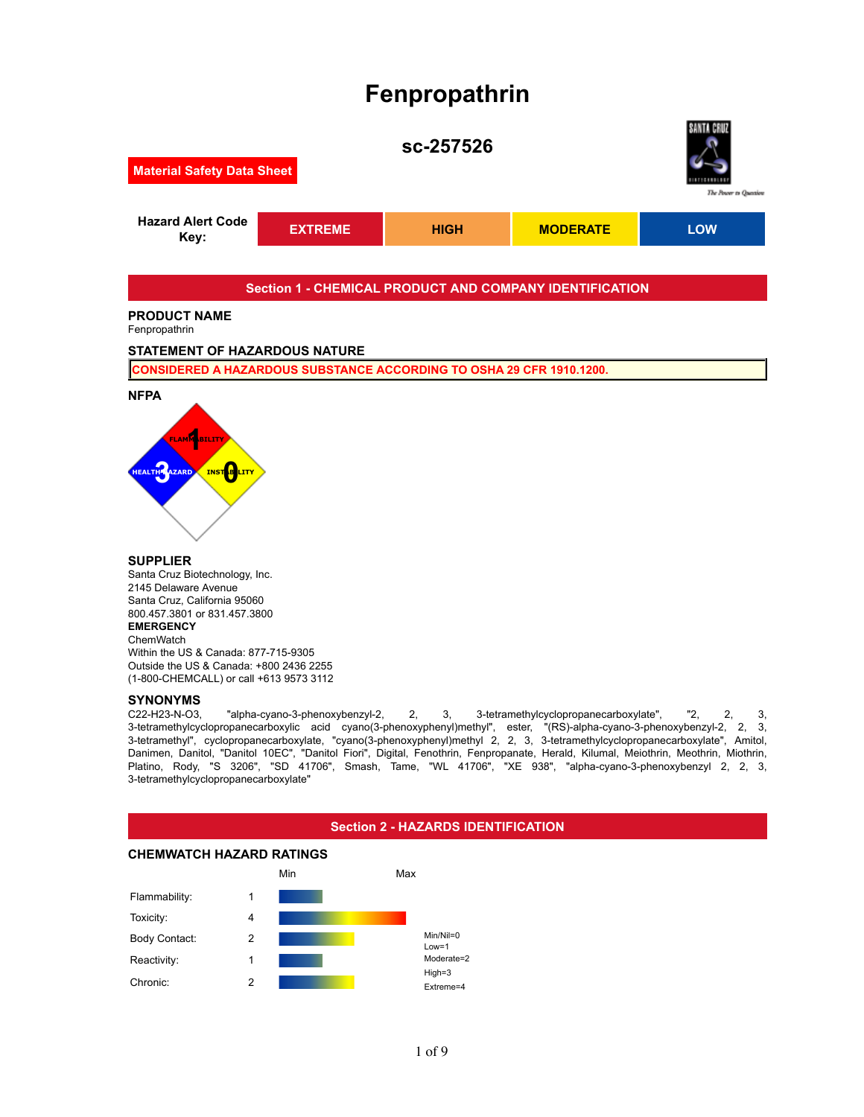# **Fenpropathrin**



#### **SUPPLIER**

Santa Cruz Biotechnology, Inc. 2145 Delaware Avenue Santa Cruz, California 95060 800.457.3801 or 831.457.3800 **EMERGENCY** ChemWatch Within the US & Canada: 877-715-9305 Outside the US & Canada: +800 2436 2255 (1-800-CHEMCALL) or call +613 9573 3112

# **SYNONYMS**

C22-H23-N-O3, "alpha-cyano-3-phenoxybenzyl-2, 2, 3, 3-tetramethylcyclopropanecarboxylate", "2, 2, 3, 3-tetramethylcyclopropanecarboxylic acid cyano(3-phenoxyphenyl)methyl", ester, "(RS)-alpha-cyano-3-phenoxybenzyl-2, 2, 3, 3-tetramethyl", cyclopropanecarboxylate, "cyano(3-phenoxyphenyl)methyl 2, 2, 3, 3-tetramethylcyclopropanecarboxylate", Amitol, Danimen, Danitol, "Danitol 10EC", "Danitol Fiori", Digital, Fenothrin, Fenpropanate, Herald, Kilumal, Meiothrin, Meothrin, Miothrin, Platino, Rody, "S 3206", "SD 41706", Smash, Tame, "WL 41706", "XE 938", "alpha-cyano-3-phenoxybenzyl 2, 2, 3, 3-tetramethylcyclopropanecarboxylate"

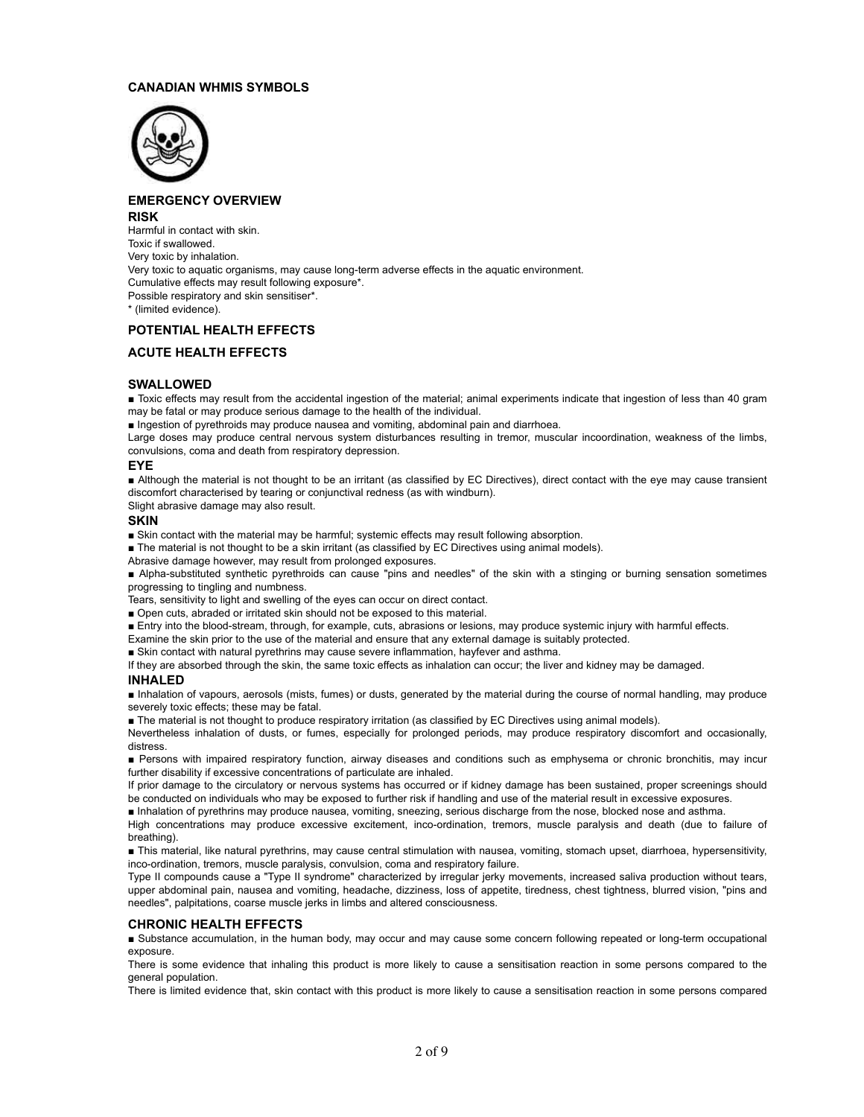# **CANADIAN WHMIS SYMBOLS**



# **EMERGENCY OVERVIEW RISK**

Harmful in contact with skin. Toxic if swallowed. Very toxic by inhalation. Very toxic to aquatic organisms, may cause long-term adverse effects in the aquatic environment. Cumulative effects may result following exposure\*. Possible respiratory and skin sensitiser\*. \* (limited evidence).

# **POTENTIAL HEALTH EFFECTS**

# **ACUTE HEALTH EFFECTS**

# **SWALLOWED**

■ Toxic effects may result from the accidental ingestion of the material; animal experiments indicate that ingestion of less than 40 gram may be fatal or may produce serious damage to the health of the individual.

■ Ingestion of pyrethroids may produce nausea and vomiting, abdominal pain and diarrhoea.

Large doses may produce central nervous system disturbances resulting in tremor, muscular incoordination, weakness of the limbs, convulsions, coma and death from respiratory depression.

#### **EYE**

■ Although the material is not thought to be an irritant (as classified by EC Directives), direct contact with the eye may cause transient discomfort characterised by tearing or conjunctival redness (as with windburn).

Slight abrasive damage may also result.

#### **SKIN**

■ Skin contact with the material may be harmful; systemic effects may result following absorption.

■ The material is not thought to be a skin irritant (as classified by EC Directives using animal models).

Abrasive damage however, may result from prolonged exposures.

■ Alpha-substituted synthetic pyrethroids can cause "pins and needles" of the skin with a stinging or burning sensation sometimes progressing to tingling and numbness.

Tears, sensitivity to light and swelling of the eyes can occur on direct contact.

■ Open cuts, abraded or irritated skin should not be exposed to this material.

■ Entry into the blood-stream, through, for example, cuts, abrasions or lesions, may produce systemic injury with harmful effects.

Examine the skin prior to the use of the material and ensure that any external damage is suitably protected.

■ Skin contact with natural pyrethrins may cause severe inflammation, hayfever and asthma.

If they are absorbed through the skin, the same toxic effects as inhalation can occur; the liver and kidney may be damaged.

#### **INHALED**

■ Inhalation of vapours, aerosols (mists, fumes) or dusts, generated by the material during the course of normal handling, may produce severely toxic effects; these may be fatal.

■ The material is not thought to produce respiratory irritation (as classified by EC Directives using animal models).

Nevertheless inhalation of dusts, or fumes, especially for prolonged periods, may produce respiratory discomfort and occasionally, distress.

■ Persons with impaired respiratory function, airway diseases and conditions such as emphysema or chronic bronchitis, may incur further disability if excessive concentrations of particulate are inhaled.

If prior damage to the circulatory or nervous systems has occurred or if kidney damage has been sustained, proper screenings should be conducted on individuals who may be exposed to further risk if handling and use of the material result in excessive exposures.

■ Inhalation of pyrethrins may produce nausea, vomiting, sneezing, serious discharge from the nose, blocked nose and asthma.

High concentrations may produce excessive excitement, inco-ordination, tremors, muscle paralysis and death (due to failure of breathing).

■ This material, like natural pyrethrins, may cause central stimulation with nausea, vomiting, stomach upset, diarrhoea, hypersensitivity, inco-ordination, tremors, muscle paralysis, convulsion, coma and respiratory failure.

Type II compounds cause a "Type II syndrome" characterized by irregular jerky movements, increased saliva production without tears, upper abdominal pain, nausea and vomiting, headache, dizziness, loss of appetite, tiredness, chest tightness, blurred vision, "pins and needles", palpitations, coarse muscle jerks in limbs and altered consciousness.

# **CHRONIC HEALTH EFFECTS**

■ Substance accumulation, in the human body, may occur and may cause some concern following repeated or long-term occupational exposure.

There is some evidence that inhaling this product is more likely to cause a sensitisation reaction in some persons compared to the general population.

There is limited evidence that, skin contact with this product is more likely to cause a sensitisation reaction in some persons compared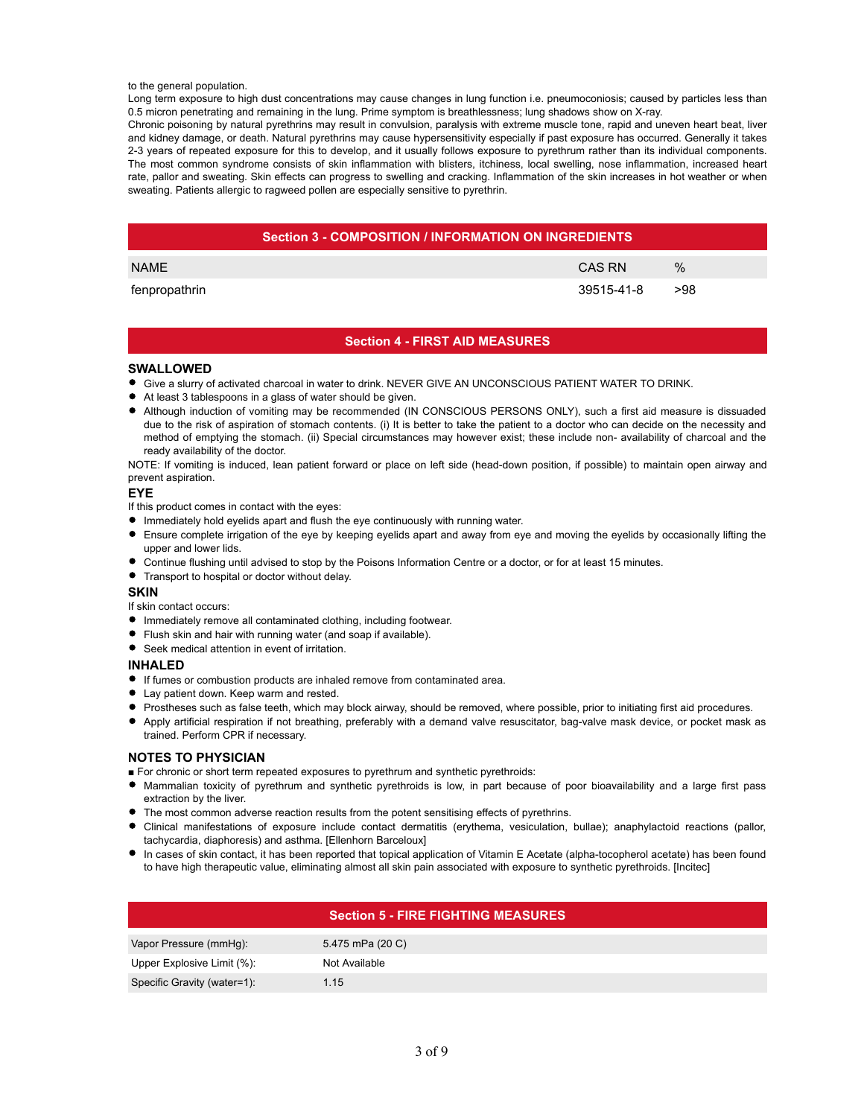to the general population.

Long term exposure to high dust concentrations may cause changes in lung function i.e. pneumoconiosis; caused by particles less than 0.5 micron penetrating and remaining in the lung. Prime symptom is breathlessness; lung shadows show on X-ray.

Chronic poisoning by natural pyrethrins may result in convulsion, paralysis with extreme muscle tone, rapid and uneven heart beat, liver and kidney damage, or death. Natural pyrethrins may cause hypersensitivity especially if past exposure has occurred. Generally it takes 2-3 years of repeated exposure for this to develop, and it usually follows exposure to pyrethrum rather than its individual components. The most common syndrome consists of skin inflammation with blisters, itchiness, local swelling, nose inflammation, increased heart rate, pallor and sweating. Skin effects can progress to swelling and cracking. Inflammation of the skin increases in hot weather or when sweating. Patients allergic to ragweed pollen are especially sensitive to pyrethrin.

| <b>Section 3 - COMPOSITION / INFORMATION ON INGREDIENTS</b> |            |       |  |
|-------------------------------------------------------------|------------|-------|--|
| <b>NAMF</b>                                                 | CAS RN     | $\%$  |  |
| fenpropathrin                                               | 39515-41-8 | - 298 |  |

# **Section 4 - FIRST AID MEASURES**

#### **SWALLOWED**

- Give a slurry of activated charcoal in water to drink. NEVER GIVE AN UNCONSCIOUS PATIENT WATER TO DRINK.
- At least 3 tablespoons in a glass of water should be given.
- Although induction of vomiting may be recommended (IN CONSCIOUS PERSONS ONLY), such a first aid measure is dissuaded due to the risk of aspiration of stomach contents. (i) It is better to take the patient to a doctor who can decide on the necessity and method of emptying the stomach. (ii) Special circumstances may however exist; these include non- availability of charcoal and the ready availability of the doctor.

NOTE: If vomiting is induced, lean patient forward or place on left side (head-down position, if possible) to maintain open airway and prevent aspiration.

# **EYE**

- If this product comes in contact with the eyes:
- Immediately hold eyelids apart and flush the eye continuously with running water.
- Ensure complete irrigation of the eye by keeping eyelids apart and away from eye and moving the eyelids by occasionally lifting the upper and lower lids.
- Continue flushing until advised to stop by the Poisons Information Centre or a doctor, or for at least 15 minutes.
- **•** Transport to hospital or doctor without delay.

#### **SKIN**

If skin contact occurs:

- Immediately remove all contaminated clothing, including footwear.
- Flush skin and hair with running water (and soap if available).
- Seek medical attention in event of irritation.

#### **INHALED**

- If fumes or combustion products are inhaled remove from contaminated area.
- Lay patient down. Keep warm and rested.
- Prostheses such as false teeth, which may block airway, should be removed, where possible, prior to initiating first aid procedures.
- Apply artificial respiration if not breathing, preferably with a demand valve resuscitator, bag-valve mask device, or pocket mask as trained. Perform CPR if necessary.

# **NOTES TO PHYSICIAN**

■ For chronic or short term repeated exposures to pyrethrum and synthetic pyrethroids:

- Mammalian toxicity of pyrethrum and synthetic pyrethroids is low, in part because of poor bioavailability and a large first pass extraction by the liver.
- The most common adverse reaction results from the potent sensitising effects of pyrethrins.
- Clinical manifestations of exposure include contact dermatitis (erythema, vesiculation, bullae); anaphylactoid reactions (pallor, tachycardia, diaphoresis) and asthma. [Ellenhorn Barceloux]
- In cases of skin contact, it has been reported that topical application of Vitamin E Acetate (alpha-tocopherol acetate) has been found to have high therapeutic value, eliminating almost all skin pain associated with exposure to synthetic pyrethroids. [Incitec]

| <b>Section 5 - FIRE FIGHTING MEASURES</b> |                  |  |  |
|-------------------------------------------|------------------|--|--|
| Vapor Pressure (mmHg):                    | 5.475 mPa (20 C) |  |  |
| Upper Explosive Limit (%):                | Not Available    |  |  |
| Specific Gravity (water=1):               | 1.15             |  |  |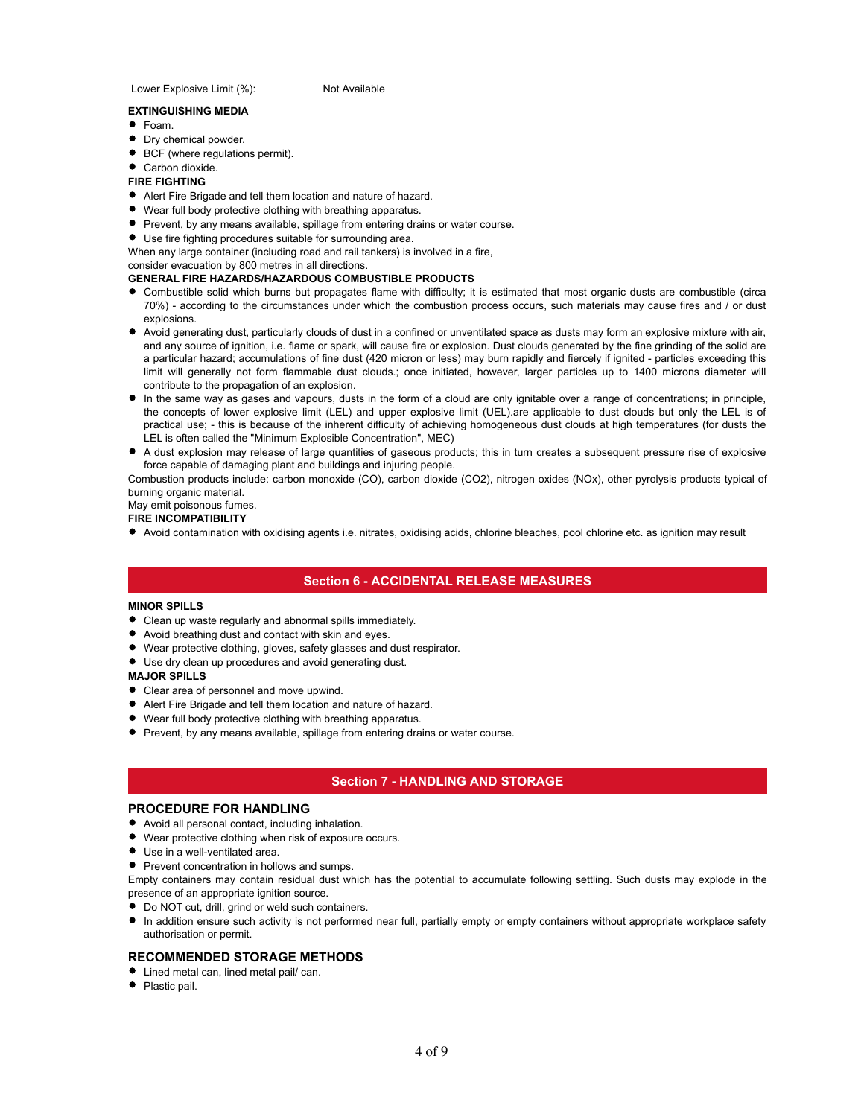Lower Explosive Limit (%): Not Available

# **EXTINGUISHING MEDIA**

- $F<sub>oam</sub>$
- **•** Dry chemical powder.
- BCF (where regulations permit).
- Carbon dioxide.

#### **FIRE FIGHTING**

- Alert Fire Brigade and tell them location and nature of hazard.
- Wear full body protective clothing with breathing apparatus.
- **Prevent, by any means available, spillage from entering drains or water course.**
- Use fire fighting procedures suitable for surrounding area.
- When any large container (including road and rail tankers) is involved in a fire,

consider evacuation by 800 metres in all directions.

# **GENERAL FIRE HAZARDS/HAZARDOUS COMBUSTIBLE PRODUCTS**

- Combustible solid which burns but propagates flame with difficulty; it is estimated that most organic dusts are combustible (circa 70%) - according to the circumstances under which the combustion process occurs, such materials may cause fires and / or dust explosions.
- Avoid generating dust, particularly clouds of dust in a confined or unventilated space as dusts may form an explosive mixture with air, and any source of ignition, i.e. flame or spark, will cause fire or explosion. Dust clouds generated by the fine grinding of the solid are a particular hazard; accumulations of fine dust (420 micron or less) may burn rapidly and fiercely if ignited - particles exceeding this limit will generally not form flammable dust clouds.; once initiated, however, larger particles up to 1400 microns diameter will contribute to the propagation of an explosion.
- $\bullet$  In the same way as gases and vapours, dusts in the form of a cloud are only ignitable over a range of concentrations; in principle, the concepts of lower explosive limit (LEL) and upper explosive limit (UEL).are applicable to dust clouds but only the LEL is of practical use; - this is because of the inherent difficulty of achieving homogeneous dust clouds at high temperatures (for dusts the LEL is often called the "Minimum Explosible Concentration", MEC)
- A dust explosion may release of large quantities of gaseous products; this in turn creates a subsequent pressure rise of explosive force capable of damaging plant and buildings and injuring people.

Combustion products include: carbon monoxide (CO), carbon dioxide (CO2), nitrogen oxides (NOx), other pyrolysis products typical of burning organic material.

#### May emit poisonous fumes.

# **FIRE INCOMPATIBILITY**

Avoid contamination with oxidising agents i.e. nitrates, oxidising acids, chlorine bleaches, pool chlorine etc. as ignition may result

# **Section 6 - ACCIDENTAL RELEASE MEASURES**

#### **MINOR SPILLS**

- Clean up waste regularly and abnormal spills immediately.
- Avoid breathing dust and contact with skin and eyes.
- Wear protective clothing, gloves, safety glasses and dust respirator.
- Use dry clean up procedures and avoid generating dust.

#### **MAJOR SPILLS**

- Clear area of personnel and move upwind.
- Alert Fire Brigade and tell them location and nature of hazard.
- Wear full body protective clothing with breathing apparatus.
- **Prevent, by any means available, spillage from entering drains or water course.**

# **Section 7 - HANDLING AND STORAGE**

#### **PROCEDURE FOR HANDLING**

- Avoid all personal contact, including inhalation.
- Wear protective clothing when risk of exposure occurs.
- Use in a well-ventilated area.
- **•** Prevent concentration in hollows and sumps.

Empty containers may contain residual dust which has the potential to accumulate following settling. Such dusts may explode in the presence of an appropriate ignition source.

- $\bullet$  Do NOT cut, drill, grind or weld such containers.
- In addition ensure such activity is not performed near full, partially empty or empty containers without appropriate workplace safety authorisation or permit.

# **RECOMMENDED STORAGE METHODS**

- **If** Lined metal can, lined metal pail/ can.
- Plastic pail.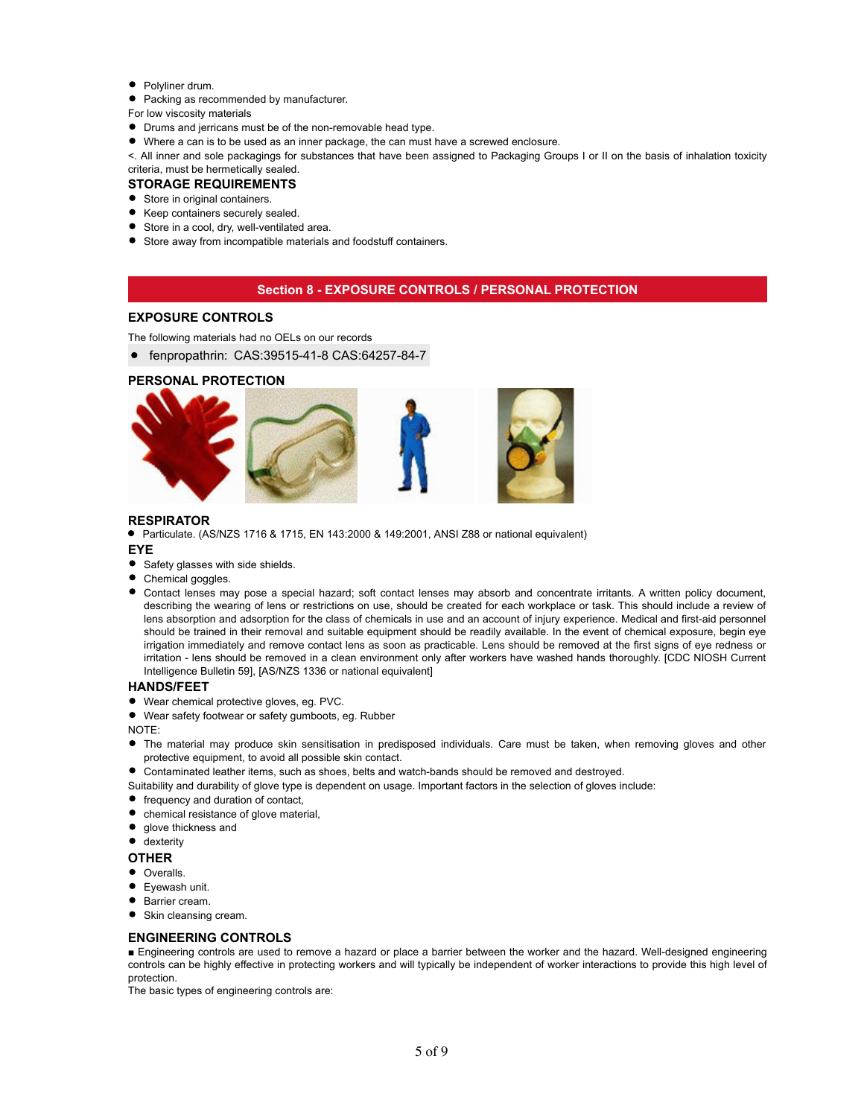- Polyliner drum.  $\bullet$
- Packing as recommended by manufacturer.

For low viscosity materials

- Drums and jerricans must be of the non-removable head type.
- Where a can is to be used as an inner package, the can must have a screwed enclosure.

<. All inner and sole packagings for substances that have been assigned to Packaging Groups I or II on the basis of inhalation toxicity criteria, must be hermetically sealed.

# **STORAGE REQUIREMENTS**

- Store in original containers.
- **Keep containers securely sealed.**
- Store in a cool, dry, well-ventilated area.
- Store away from incompatible materials and foodstuff containers.

# **Section 8 - EXPOSURE CONTROLS / PERSONAL PROTECTION**

# **EXPOSURE CONTROLS**

The following materials had no OELs on our records

fenpropathrin: CAS:39515-41-8 CAS:64257-84-7

# **PERSONAL PROTECTION**



# **RESPIRATOR**

Particulate. (AS/NZS 1716 & 1715, EN 143:2000 & 149:2001, ANSI Z88 or national equivalent)

#### **EYE**

- Safety glasses with side shields.
- **Chemical goggles.**
- Contact lenses may pose a special hazard; soft contact lenses may absorb and concentrate irritants. A written policy document, describing the wearing of lens or restrictions on use, should be created for each workplace or task. This should include a review of lens absorption and adsorption for the class of chemicals in use and an account of injury experience. Medical and first-aid personnel should be trained in their removal and suitable equipment should be readily available. In the event of chemical exposure, begin eye irrigation immediately and remove contact lens as soon as practicable. Lens should be removed at the first signs of eye redness or irritation - lens should be removed in a clean environment only after workers have washed hands thoroughly. [CDC NIOSH Current Intelligence Bulletin 59], [AS/NZS 1336 or national equivalent]

# **HANDS/FEET**

- Wear chemical protective gloves, eg. PVC.
- Wear safety footwear or safety gumboots, eg. Rubber

NOTE:

- The material may produce skin sensitisation in predisposed individuals. Care must be taken, when removing gloves and other protective equipment, to avoid all possible skin contact.
- Contaminated leather items, such as shoes, belts and watch-bands should be removed and destroyed.
- Suitability and durability of glove type is dependent on usage. Important factors in the selection of gloves include:
- $\bullet$  frequency and duration of contact,
- chemical resistance of glove material,
- glove thickness and
- $\bullet$ dexterity

#### **OTHER**

- Overalls.
- **•** Eyewash unit.
- Barrier cream.
- Skin cleansing cream.

# **ENGINEERING CONTROLS**

■ Engineering controls are used to remove a hazard or place a barrier between the worker and the hazard. Well-designed engineering controls can be highly effective in protecting workers and will typically be independent of worker interactions to provide this high level of protection.

The basic types of engineering controls are: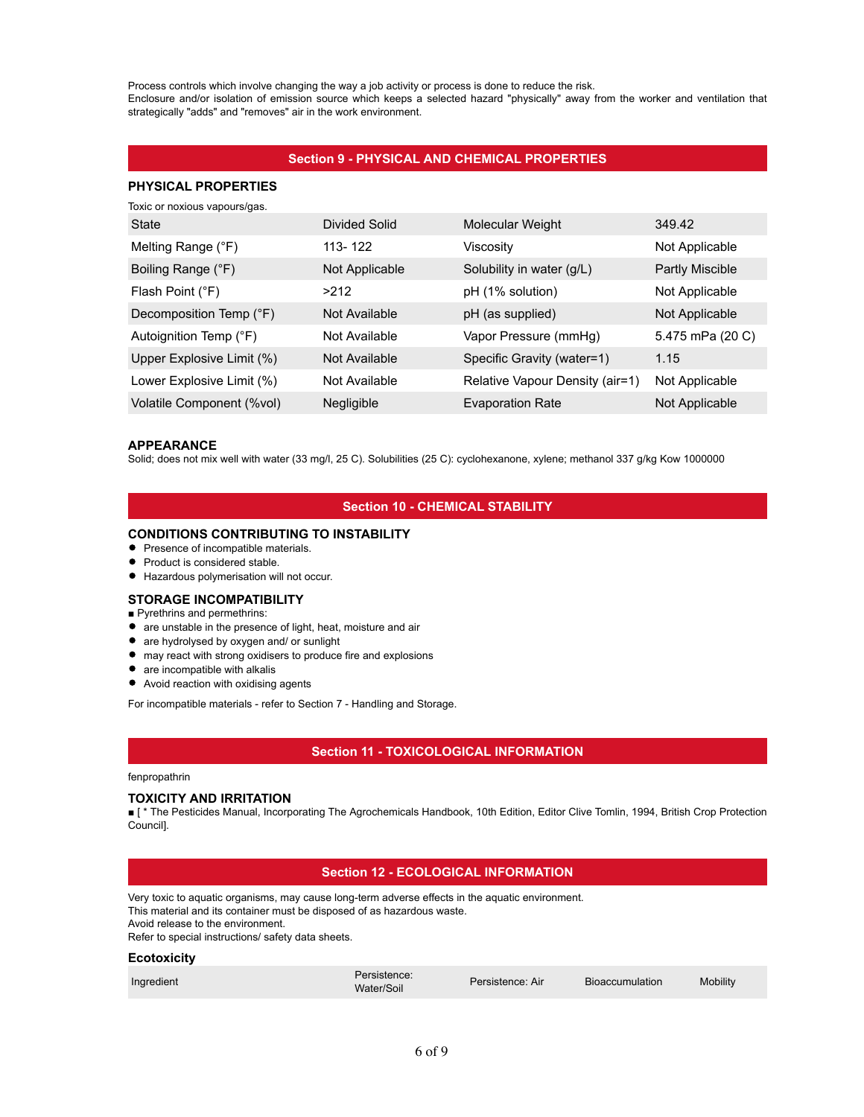Process controls which involve changing the way a job activity or process is done to reduce the risk. Enclosure and/or isolation of emission source which keeps a selected hazard "physically" away from the worker and ventilation that strategically "adds" and "removes" air in the work environment.

# **Section 9 - PHYSICAL AND CHEMICAL PROPERTIES**

| <b>PHYSICAL PROPERTIES</b>    |                |                                 |                        |
|-------------------------------|----------------|---------------------------------|------------------------|
| Toxic or noxious vapours/gas. |                |                                 |                        |
| State                         | Divided Solid  | <b>Molecular Weight</b>         | 349.42                 |
| Melting Range (°F)            | 113-122        | Viscosity                       | Not Applicable         |
| Boiling Range (°F)            | Not Applicable | Solubility in water (g/L)       | <b>Partly Miscible</b> |
| Flash Point (°F)              | >212           | pH (1% solution)                | Not Applicable         |
| Decomposition Temp (°F)       | Not Available  | pH (as supplied)                | Not Applicable         |
| Autoignition Temp (°F)        | Not Available  | Vapor Pressure (mmHg)           | 5.475 mPa (20 C)       |
| Upper Explosive Limit (%)     | Not Available  | Specific Gravity (water=1)      | 1.15                   |
| Lower Explosive Limit (%)     | Not Available  | Relative Vapour Density (air=1) | Not Applicable         |
| Volatile Component (%vol)     | Negligible     | <b>Evaporation Rate</b>         | Not Applicable         |

# **APPEARANCE**

Solid; does not mix well with water (33 mg/l, 25 C). Solubilities (25 C): cyclohexanone, xylene; methanol 337 g/kg Kow 1000000

#### **Section 10 - CHEMICAL STABILITY**

# **CONDITIONS CONTRIBUTING TO INSTABILITY**

- **•** Presence of incompatible materials.
- Product is considered stable.
- Hazardous polymerisation will not occur.

# **STORAGE INCOMPATIBILITY**

- Pyrethrins and permethrins:
- are unstable in the presence of light, heat, moisture and air
- $\bullet$ are hydrolysed by oxygen and/ or sunlight
- may react with strong oxidisers to produce fire and explosions
- are incompatible with alkalis
- Avoid reaction with oxidising agents

For incompatible materials - refer to Section 7 - Handling and Storage.

# **Section 11 - TOXICOLOGICAL INFORMATION**

#### fenpropathrin

# **TOXICITY AND IRRITATION**

■ [ \* The Pesticides Manual, Incorporating The Agrochemicals Handbook, 10th Edition, Editor Clive Tomlin, 1994, British Crop Protection Council].

# **Section 12 - ECOLOGICAL INFORMATION**

Very toxic to aquatic organisms, may cause long-term adverse effects in the aquatic environment. This material and its container must be disposed of as hazardous waste. Avoid release to the environment. Refer to special instructions/ safety data sheets.

# **Ecotoxicity**

| Ingredient | sistence:<br>Water/Soil | Persistence: Air | Bioaccumulation | Mobility |
|------------|-------------------------|------------------|-----------------|----------|
|            |                         |                  |                 |          |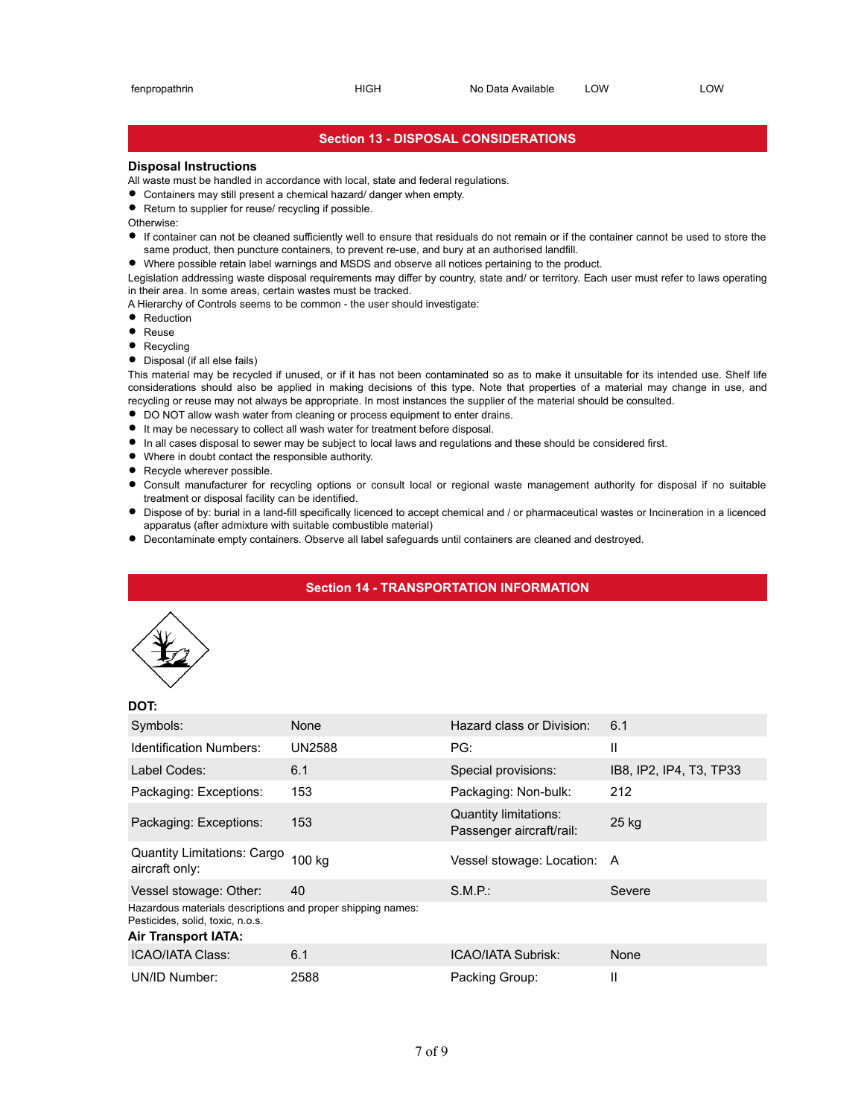# **Section 13 - DISPOSAL CONSIDERATIONS**

# **Disposal Instructions**

- All waste must be handled in accordance with local, state and federal regulations.
- Containers may still present a chemical hazard/ danger when empty.
- Return to supplier for reuse/ recycling if possible.

Otherwise:

- If container can not be cleaned sufficiently well to ensure that residuals do not remain or if the container cannot be used to store the same product, then puncture containers, to prevent re-use, and bury at an authorised landfill.
- Where possible retain label warnings and MSDS and observe all notices pertaining to the product.

Legislation addressing waste disposal requirements may differ by country, state and/ or territory. Each user must refer to laws operating in their area. In some areas, certain wastes must be tracked.

A Hierarchy of Controls seems to be common - the user should investigate:

- Reduction
- Reuse
- Recycling
- Disposal (if all else fails)

This material may be recycled if unused, or if it has not been contaminated so as to make it unsuitable for its intended use. Shelf life considerations should also be applied in making decisions of this type. Note that properties of a material may change in use, and recycling or reuse may not always be appropriate. In most instances the supplier of the material should be consulted.

- $\bullet$  DO NOT allow wash water from cleaning or process equipment to enter drains.
- It may be necessary to collect all wash water for treatment before disposal.
- In all cases disposal to sewer may be subject to local laws and regulations and these should be considered first.
- Where in doubt contact the responsible authority.
- $\bullet$ Recycle wherever possible.
- Consult manufacturer for recycling options or consult local or regional waste management authority for disposal if no suitable treatment or disposal facility can be identified.
- Dispose of by: burial in a land-fill specifically licenced to accept chemical and / or pharmaceutical wastes or Incineration in a licenced apparatus (after admixture with suitable combustible material)
- Decontaminate empty containers. Observe all label safeguards until containers are cleaned and destroyed.

# **Section 14 - TRANSPORTATION INFORMATION**



# **DOT:**

| Symbols:                                                                                                               | None          | Hazard class or Division:                         | 6.1                     |
|------------------------------------------------------------------------------------------------------------------------|---------------|---------------------------------------------------|-------------------------|
| <b>Identification Numbers:</b>                                                                                         | <b>UN2588</b> | PG:                                               | Ш                       |
| Label Codes:                                                                                                           | 6.1           | Special provisions:                               | IB8, IP2, IP4, T3, TP33 |
| Packaging: Exceptions:                                                                                                 | 153           | Packaging: Non-bulk:                              | 212                     |
| Packaging: Exceptions:                                                                                                 | 153           | Quantity limitations:<br>Passenger aircraft/rail: | $25$ kg                 |
| Quantity Limitations: Cargo<br>aircraft only:                                                                          | 100 kg        | Vessel stowage: Location: A                       |                         |
| Vessel stowage: Other:                                                                                                 | 40            | S.M.P.:                                           | Severe                  |
| Hazardous materials descriptions and proper shipping names:<br>Pesticides, solid, toxic, n.o.s.<br>Air Transport IATA: |               |                                                   |                         |
| <b>ICAO/IATA Class:</b>                                                                                                | 6.1           | <b>ICAO/IATA Subrisk:</b>                         | None                    |
| UN/ID Number:                                                                                                          | 2588          | Packing Group:                                    | Ш                       |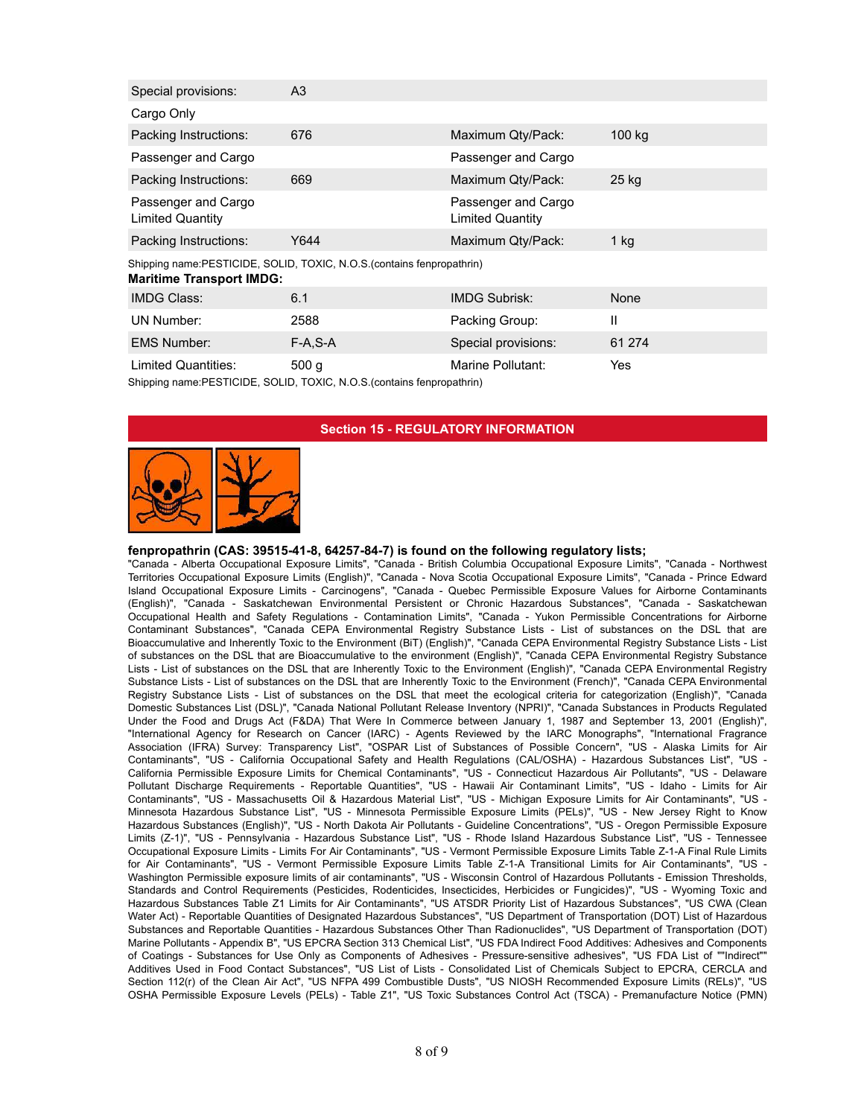| Special provisions:                                                                                        | A3                                                                           |                                                |         |
|------------------------------------------------------------------------------------------------------------|------------------------------------------------------------------------------|------------------------------------------------|---------|
| Cargo Only                                                                                                 |                                                                              |                                                |         |
| Packing Instructions:                                                                                      | 676                                                                          | Maximum Qty/Pack:                              | 100 kg  |
| Passenger and Cargo                                                                                        |                                                                              | Passenger and Cargo                            |         |
| Packing Instructions:                                                                                      | 669                                                                          | Maximum Qty/Pack:                              | $25$ kg |
| Passenger and Cargo<br><b>Limited Quantity</b>                                                             |                                                                              | Passenger and Cargo<br><b>Limited Quantity</b> |         |
| Packing Instructions:                                                                                      | Y644                                                                         | Maximum Qty/Pack:                              | $1$ kg  |
| Shipping name: PESTICIDE, SOLID, TOXIC, N.O.S. (contains fenpropathrin)<br><b>Maritime Transport IMDG:</b> |                                                                              |                                                |         |
| <b>IMDG Class:</b>                                                                                         | 6.1                                                                          | <b>IMDG Subrisk:</b>                           | None    |
| UN Number:                                                                                                 | 2588                                                                         | Packing Group:                                 | Ш       |
| <b>EMS Number:</b>                                                                                         | $F-A.S-A$                                                                    | Special provisions:                            | 61 274  |
| <b>Limited Quantities:</b>                                                                                 | 500q<br>Chinning name: DECTICIDE COLID TOVIC N O C (contains for proportion) | Marine Pollutant:                              | Yes     |

Shipping name:PESTICIDE, SOLID, TOXIC, N.O.S.(contains fenpropathrin)

#### **Section 15 - REGULATORY INFORMATION**



# **fenpropathrin (CAS: 39515-41-8, 64257-84-7) is found on the following regulatory lists;**

"Canada - Alberta Occupational Exposure Limits", "Canada - British Columbia Occupational Exposure Limits", "Canada - Northwest Territories Occupational Exposure Limits (English)", "Canada - Nova Scotia Occupational Exposure Limits", "Canada - Prince Edward Island Occupational Exposure Limits - Carcinogens", "Canada - Quebec Permissible Exposure Values for Airborne Contaminants (English)", "Canada - Saskatchewan Environmental Persistent or Chronic Hazardous Substances", "Canada - Saskatchewan Occupational Health and Safety Regulations - Contamination Limits", "Canada - Yukon Permissible Concentrations for Airborne Contaminant Substances", "Canada CEPA Environmental Registry Substance Lists - List of substances on the DSL that are Bioaccumulative and Inherently Toxic to the Environment (BiT) (English)", "Canada CEPA Environmental Registry Substance Lists - List of substances on the DSL that are Bioaccumulative to the environment (English)", "Canada CEPA Environmental Registry Substance Lists - List of substances on the DSL that are Inherently Toxic to the Environment (English)", "Canada CEPA Environmental Registry Substance Lists - List of substances on the DSL that are Inherently Toxic to the Environment (French)", "Canada CEPA Environmental Registry Substance Lists - List of substances on the DSL that meet the ecological criteria for categorization (English)", "Canada Domestic Substances List (DSL)", "Canada National Pollutant Release Inventory (NPRI)", "Canada Substances in Products Regulated Under the Food and Drugs Act (F&DA) That Were In Commerce between January 1, 1987 and September 13, 2001 (English)", "International Agency for Research on Cancer (IARC) - Agents Reviewed by the IARC Monographs", "International Fragrance Association (IFRA) Survey: Transparency List", "OSPAR List of Substances of Possible Concern", "US - Alaska Limits for Air Contaminants", "US - California Occupational Safety and Health Regulations (CAL/OSHA) - Hazardous Substances List", "US - California Permissible Exposure Limits for Chemical Contaminants", "US - Connecticut Hazardous Air Pollutants", "US - Delaware Pollutant Discharge Requirements - Reportable Quantities", "US - Hawaii Air Contaminant Limits", "US - Idaho - Limits for Air Contaminants", "US - Massachusetts Oil & Hazardous Material List", "US - Michigan Exposure Limits for Air Contaminants", "US - Minnesota Hazardous Substance List", "US - Minnesota Permissible Exposure Limits (PELs)", "US - New Jersey Right to Know Hazardous Substances (English)", "US - North Dakota Air Pollutants - Guideline Concentrations", "US - Oregon Permissible Exposure Limits (Z-1)", "US - Pennsylvania - Hazardous Substance List", "US - Rhode Island Hazardous Substance List", "US - Tennessee Occupational Exposure Limits - Limits For Air Contaminants", "US - Vermont Permissible Exposure Limits Table Z-1-A Final Rule Limits for Air Contaminants", "US - Vermont Permissible Exposure Limits Table Z-1-A Transitional Limits for Air Contaminants", "US - Washington Permissible exposure limits of air contaminants", "US - Wisconsin Control of Hazardous Pollutants - Emission Thresholds, Standards and Control Requirements (Pesticides, Rodenticides, Insecticides, Herbicides or Fungicides)", "US - Wyoming Toxic and Hazardous Substances Table Z1 Limits for Air Contaminants", "US ATSDR Priority List of Hazardous Substances", "US CWA (Clean Water Act) - Reportable Quantities of Designated Hazardous Substances", "US Department of Transportation (DOT) List of Hazardous Substances and Reportable Quantities - Hazardous Substances Other Than Radionuclides", "US Department of Transportation (DOT) Marine Pollutants - Appendix B", "US EPCRA Section 313 Chemical List", "US FDA Indirect Food Additives: Adhesives and Components of Coatings - Substances for Use Only as Components of Adhesives - Pressure-sensitive adhesives", "US FDA List of ""Indirect"" Additives Used in Food Contact Substances", "US List of Lists - Consolidated List of Chemicals Subject to EPCRA, CERCLA and Section 112(r) of the Clean Air Act", "US NFPA 499 Combustible Dusts", "US NIOSH Recommended Exposure Limits (RELs)", "US OSHA Permissible Exposure Levels (PELs) - Table Z1", "US Toxic Substances Control Act (TSCA) - Premanufacture Notice (PMN)